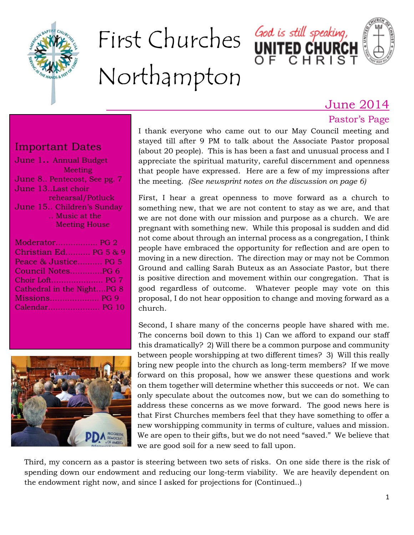

# First Churches God is still speaking, Northampton

# June 2014

#### Pastor's Page

#### Important Dates

| June 1 Annual Budget        |
|-----------------------------|
| Meeting                     |
| June 8 Pentecost, See pg. 7 |
| June 13Last choir           |
| rehearsal/Potluck           |
| June 15 Children's Sunday   |
| Music at the                |
| <b>Meeting House</b>        |
| Moderator PG 2              |
| Christian Ed PG 5 & 9       |
|                             |

| Christian Ed PG 5 & 9      |  |
|----------------------------|--|
| Peace & Justice PG 5       |  |
| Council NotesPG 6          |  |
|                            |  |
| Cathedral in the NightPG 8 |  |
| Missions PG 9              |  |
| Calendar PG 10             |  |



I thank everyone who came out to our May Council meeting and stayed till after 9 PM to talk about the Associate Pastor proposal (about 20 people). This is has been a fast and unusual process and I appreciate the spiritual maturity, careful discernment and openness that people have expressed. Here are a few of my impressions after the meeting. *(See newsprint notes on the discussion on page 6)*

First, I hear a great openness to move forward as a church to something new, that we are not content to stay as we are, and that we are not done with our mission and purpose as a church. We are pregnant with something new. While this proposal is sudden and did not come about through an internal process as a congregation, I think people have embraced the opportunity for reflection and are open to moving in a new direction. The direction may or may not be Common Ground and calling Sarah Buteux as an Associate Pastor, but there is positive direction and movement within our congregation. That is good regardless of outcome. Whatever people may vote on this proposal, I do not hear opposition to change and moving forward as a church.

Second, I share many of the concerns people have shared with me. The concerns boil down to this 1) Can we afford to expand our staff this dramatically? 2) Will there be a common purpose and community between people worshipping at two different times? 3) Will this really bring new people into the church as long-term members? If we move forward on this proposal, how we answer these questions and work on them together will determine whether this succeeds or not. We can only speculate about the outcomes now, but we can do something to address these concerns as we move forward. The good news here is that First Churches members feel that they have something to offer a new worshipping community in terms of culture, values and mission. We are open to their gifts, but we do not need "saved." We believe that we are good soil for a new seed to fall upon.

Third, my concern as a pastor is steering between two sets of risks. On one side there is the risk of spending down our endowment and reducing our long-term viability. We are heavily dependent on the endowment right now, and since I asked for projections for (Continued..)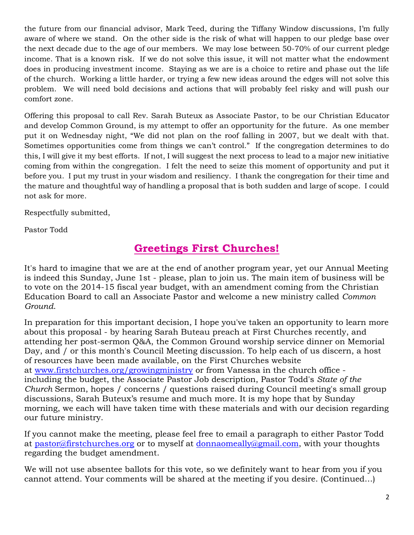the future from our financial advisor, Mark Teed, during the Tiffany Window discussions, I'm fully aware of where we stand. On the other side is the risk of what will happen to our pledge base over the next decade due to the age of our members. We may lose between 50-70% of our current pledge income. That is a known risk. If we do not solve this issue, it will not matter what the endowment does in producing investment income. Staying as we are is a choice to retire and phase out the life of the church. Working a little harder, or trying a few new ideas around the edges will not solve this problem. We will need bold decisions and actions that will probably feel risky and will push our comfort zone.

Offering this proposal to call Rev. Sarah Buteux as Associate Pastor, to be our Christian Educator and develop Common Ground, is my attempt to offer an opportunity for the future. As one member put it on Wednesday night, "We did not plan on the roof falling in 2007, but we dealt with that. Sometimes opportunities come from things we can't control." If the congregation determines to do this, I will give it my best efforts. If not, I will suggest the next process to lead to a major new initiative coming from within the congregation. I felt the need to seize this moment of opportunity and put it before you. I put my trust in your wisdom and resiliency. I thank the congregation for their time and the mature and thoughtful way of handling a proposal that is both sudden and large of scope. I could not ask for more.

Respectfully submitted,

Pastor Todd

# **Greetings First Churches!**

It's hard to imagine that we are at the end of another program year, yet our Annual Meeting is indeed this Sunday, June 1st - please, plan to join us. The main item of business will be to vote on the 2014-15 fiscal year budget, with an amendment coming from the Christian Education Board to call an Associate Pastor and welcome a new ministry called *Common Ground*.

In preparation for this important decision, I hope you've taken an opportunity to learn more about this proposal - by hearing Sarah Buteau preach at First Churches recently, and attending her post-sermon Q&A, the Common Ground worship service dinner on Memorial Day, and / or this month's Council Meeting discussion. To help each of us discern, a host of resources have been made available, on the First Churches website at [www.firstchurches.org/growingministry](http://www.firstchurches.org/growingministry) or from Vanessa in the church office including the budget, the Associate Pastor Job description, Pastor Todd's *State of the Church* Sermon, hopes / concerns / questions raised during Council meeting's small group discussions, Sarah Buteux's resume and much more. It is my hope that by Sunday morning, we each will have taken time with these materials and with our decision regarding our future ministry.

If you cannot make the meeting, please feel free to email a paragraph to either Pastor Todd at [pastor@firstchurches.org](mailto:pastor@firstchurches.org) or to myself at [donnaomeally@gmail.com,](mailto:donnaomeally@gmail.com) with your thoughts regarding the budget amendment.

We will not use absentee ballots for this vote, so we definitely want to hear from you if you cannot attend. Your comments will be shared at the meeting if you desire. (Continued…)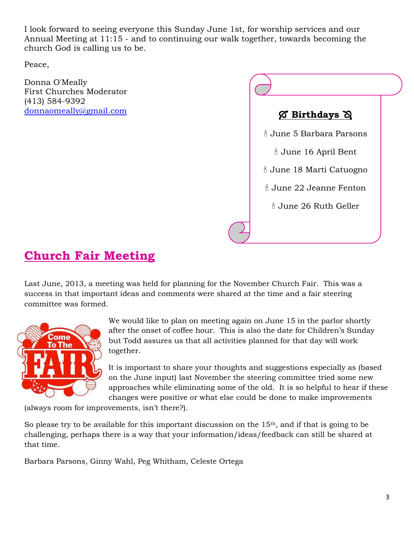I look forward to seeing everyone this Sunday June 1st, for worship services and our Annual Meeting at 11:15 - and to continuing our walk together, towards becoming the church God is calling us to be.

Peace,

Donna O'Meally First Churches Moderator (413) 584-9392 [donnaomeally@gmail.com](mailto:donnaomeally@gmail.com)



# **Church Fair Meeting**

Last June, 2013, a meeting was held for planning for the November Church Fair. This was a success in that important ideas and comments were shared at the time and a fair steering committee was formed.



We would like to plan on meeting again on June 15 in the parlor shortly after the onset of coffee hour. This is also the date for Children's Sunday but Todd assures us that all activities planned for that day will work together.

It is important to share your thoughts and suggestions especially as (based on the June input) last November the steering committee tried some new approaches while eliminating some of the old. It is so helpful to hear if these changes were positive or what else could be done to make improvements

(always room for improvements, isn't there?).

So please try to be available for this important discussion on the  $15<sup>th</sup>$ , and if that is going to be challenging, perhaps there is a way that your information/ideas/feedback can still be shared at that time.

Barbara Parsons, Ginny Wahl, Peg Whitham, Celeste Ortega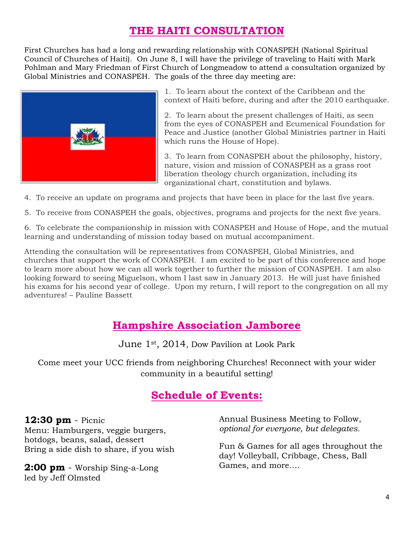# **THE HAITI CONSULTATION**

First Churches has had a long and rewarding relationship with CONASPEH (National Spiritual Council of Churches of Haiti). On June 8, I will have the privilege of traveling to Haiti with Mark Pohlman and Mary Friedman of First Church of Longmeadow to attend a consultation organized by Global Ministries and CONASPEH. The goals of the three day meeting are:



1. To learn about the context of the Caribbean and the context of Haiti before, during and after the 2010 earthquake.

2. To learn about the present challenges of Haiti, as seen from the eyes of CONASPEH and Ecumenical Foundation for Peace and Justice (another Global Ministries partner in Haiti which runs the House of Hope).

3. To learn from CONASPEH about the philosophy, history, nature, vision and mission of CONASPEH as a grass root liberation theology church organization, including its organizational chart, constitution and bylaws.

4. To receive an update on programs and projects that have been in place for the last five years.

5. To receive from CONASPEH the goals, objectives, programs and projects for the next five years.

6. To celebrate the companionship in mission with CONASPEH and House of Hope, and the mutual learning and understanding of mission today based on mutual accompaniment.

Attending the consultation will be representatives from CONASPEH, Global Ministries, and churches that support the work of CONASPEH. I am excited to be part of this conference and hope to learn more about how we can all work together to further the mission of CONASPEH. I am also looking forward to seeing Miguelson, whom I last saw in January 2013. He will just have finished his exams for his second year of college. Upon my return, I will report to the congregation on all my adventures! – Pauline Bassett

#### **Hampshire Association Jamboree**

June 1st, 2014, Dow Pavilion at Look Park

Come meet your UCC friends from neighboring Churches! Reconnect with your wider community in a beautiful setting!

#### **Schedule of Events:**

#### **12:30 pm** - Picnic

Menu: Hamburgers, veggie burgers, hotdogs, beans, salad, dessert Bring a side dish to share, if you wish

**2:00 pm** - Worship Sing-a-Long led by Jeff Olmsted

Annual Business Meeting to Follow, *optional for everyone, but delegates.*

Fun & Games for all ages throughout the day! Volleyball, Cribbage, Chess, Ball Games, and more….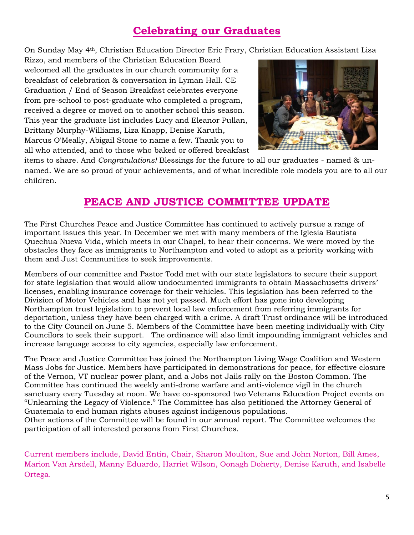# **Celebrating our Graduates**

On Sunday May 4th, Christian Education Director Eric Frary, Christian Education Assistant Lisa

Rizzo, and members of the Christian Education Board welcomed all the graduates in our church community for a breakfast of celebration & conversation in Lyman Hall. CE Graduation / End of Season Breakfast celebrates everyone from pre-school to post-graduate who completed a program, received a degree or moved on to another school this season. This year the graduate list includes Lucy and Eleanor Pullan, Brittany Murphy-Williams, Liza Knapp, Denise Karuth, Marcus O'Meally, Abigail Stone to name a few. Thank you to all who attended, and to those who baked or offered breakfast



items to share. And *Congratulations!* Blessings for the future to all our graduates - named & unnamed. We are so proud of your achievements, and of what incredible role models you are to all our children.

#### **PEACE AND JUSTICE COMMITTEE UPDATE**

The First Churches Peace and Justice Committee has continued to actively pursue a range of important issues this year. In December we met with many members of the Iglesia Bautista Quechua Nueva Vida, which meets in our Chapel, to hear their concerns. We were moved by the obstacles they face as immigrants to Northampton and voted to adopt as a priority working with them and Just Communities to seek improvements.

Members of our committee and Pastor Todd met with our state legislators to secure their support for state legislation that would allow undocumented immigrants to obtain Massachusetts drivers' licenses, enabling insurance coverage for their vehicles. This legislation has been referred to the Division of Motor Vehicles and has not yet passed. Much effort has gone into developing Northampton trust legislation to prevent local law enforcement from referring immigrants for deportation, unless they have been charged with a crime. A draft Trust ordinance will be introduced to the City Council on June 5. Members of the Committee have been meeting individually with City Councilors to seek their support. The ordinance will also limit impounding immigrant vehicles and increase language access to city agencies, especially law enforcement.

The Peace and Justice Committee has joined the Northampton Living Wage Coalition and Western Mass Jobs for Justice. Members have participated in demonstrations for peace, for effective closure of the Vernon, VT nuclear power plant, and a Jobs not Jails rally on the Boston Common. The Committee has continued the weekly anti-drone warfare and anti-violence vigil in the church sanctuary every Tuesday at noon. We have co-sponsored two Veterans Education Project events on "Unlearning the Legacy of Violence." The Committee has also petitioned the Attorney General of Guatemala to end human rights abuses against indigenous populations.

Other actions of the Committee will be found in our annual report. The Committee welcomes the participation of all interested persons from First Churches.

Current members include, David Entin, Chair, Sharon Moulton, Sue and John Norton, Bill Ames, Marion Van Arsdell, Manny Eduardo, Harriet Wilson, Oonagh Doherty, Denise Karuth, and Isabelle Ortega.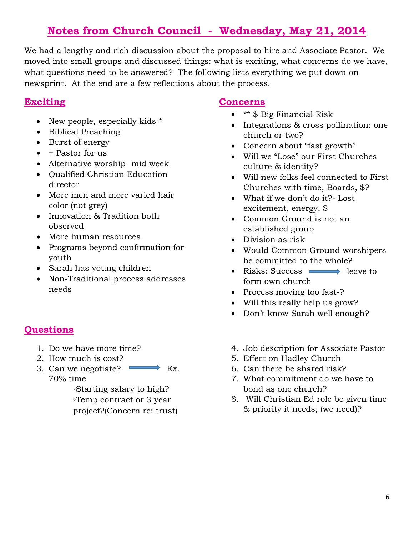# **Notes from Church Council - Wednesday, May 21, 2014**

We had a lengthy and rich discussion about the proposal to hire and Associate Pastor. We moved into small groups and discussed things: what is exciting, what concerns do we have, what questions need to be answered? The following lists everything we put down on newsprint. At the end are a few reflections about the process.

#### **Exciting**

- New people, especially kids  $*$
- Biblical Preaching
- Burst of energy
- $\bullet$  + Pastor for us
- Alternative worship- mid week
- Qualified Christian Education director
- More men and more varied hair color (not grey)
- Innovation & Tradition both observed
- More human resources
- Programs beyond confirmation for youth
- Sarah has young children
- Non-Traditional process addresses needs

#### **Questions**

- 1. Do we have more time?
- 2. How much is cost?
- 3. Can we negotiate?  $\longrightarrow$  Ex. 70% time

◦Starting salary to high? ◦Temp contract or 3 year project?(Concern re: trust)

#### **Concerns**

- **\*\* \$ Big Financial Risk**
- Integrations & cross pollination: one church or two?
- Concern about "fast growth"
- Will we "Lose" our First Churches culture & identity?
- Will new folks feel connected to First Churches with time, Boards, \$?
- What if we don't do it?- Lost excitement, energy, \$
- Common Ground is not an established group
- Division as risk
- Would Common Ground worshipers be committed to the whole?
- Risks: Success **leave to** form own church
- Process moving too fast-?
- Will this really help us grow?
- Don't know Sarah well enough?
- 4. Job description for Associate Pastor
- 5. Effect on Hadley Church
- 6. Can there be shared risk?
- 7. What commitment do we have to bond as one church?
- 8. Will Christian Ed role be given time & priority it needs, (we need)?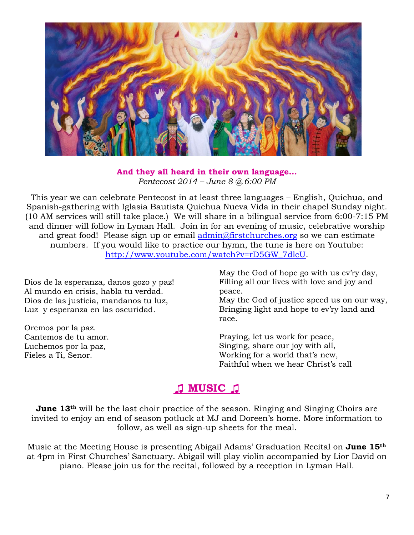

#### **And they all heard in their own language…** *Pentecost 2014 – June 8 @ 6:00 PM*

This year we can celebrate Pentecost in at least three languages – English, Quichua, and Spanish-gathering with Iglasia Bautista Quichua Nueva Vida in their chapel Sunday night. (10 AM services will still take place.) We will share in a bilingual service from 6:00-7:15 PM and dinner will follow in Lyman Hall. Join in for an evening of music, celebrative worship and great food! Please sign up or email [admin@firstchurches.org](mailto:admin@firstchurches.org) so we can estimate numbers. If you would like to practice our hymn, the tune is here on Youtube: [http://www.youtube.com/watch?v=rD5GW\\_7dlcU.](http://www.youtube.com/watch?v=rD5GW_7dlcU)

Dios de la esperanza, danos gozo y paz! Al mundo en crisis, habla tu verdad. Dios de las justicia, mandanos tu luz, Luz y esperanza en las oscuridad.

Oremos por la paz. Cantemos de tu amor. Luchemos por la paz, Fieles a Ti, Senor.

May the God of hope go with us ev'ry day, Filling all our lives with love and joy and peace.

May the God of justice speed us on our way, Bringing light and hope to ev'ry land and race.

Praying, let us work for peace, Singing, share our joy with all, Working for a world that's new, Faithful when we hear Christ's call

# **♫ MUSIC ♫**

**June 13<sup>th</sup>** will be the last choir practice of the season. Ringing and Singing Choirs are invited to enjoy an end of season potluck at MJ and Doreen's home. More information to follow, as well as sign-up sheets for the meal.

Music at the Meeting House is presenting Abigail Adams' Graduation Recital on **June 15th** at 4pm in First Churches' Sanctuary. Abigail will play violin accompanied by Lior David on piano. Please join us for the recital, followed by a reception in Lyman Hall.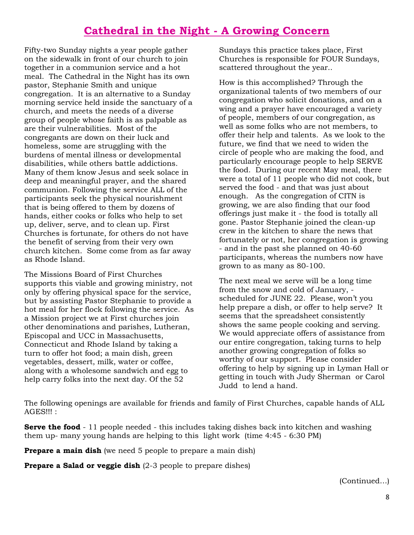# **Cathedral in the Night - A Growing Concern**

Fifty-two Sunday nights a year people gather on the sidewalk in front of our church to join together in a communion service and a hot meal. The Cathedral in the Night has its own pastor, Stephanie Smith and unique congregation. It is an alternative to a Sunday morning service held inside the sanctuary of a church, and meets the needs of a diverse group of people whose faith is as palpable as are their vulnerabilities. Most of the congregants are down on their luck and homeless, some are struggling with the burdens of mental illness or developmental disabilities, while others battle addictions. Many of them know Jesus and seek solace in deep and meaningful prayer, and the shared communion. Following the service ALL of the participants seek the physical nourishment that is being offered to them by dozens of hands, either cooks or folks who help to set up, deliver, serve, and to clean up. First Churches is fortunate, for others do not have the benefit of serving from their very own church kitchen. Some come from as far away as Rhode Island.

The Missions Board of First Churches supports this viable and growing ministry, not only by offering physical space for the service, but by assisting Pastor Stephanie to provide a hot meal for her flock following the service. As a Mission project we at First churches join other denominations and parishes, Lutheran, Episcopal and UCC in Massachusetts, Connecticut and Rhode Island by taking a turn to offer hot food; a main dish, green vegetables, dessert, milk, water or coffee, along with a wholesome sandwich and egg to help carry folks into the next day. Of the 52

Sundays this practice takes place, First Churches is responsible for FOUR Sundays, scattered throughout the year..

How is this accomplished? Through the organizational talents of two members of our congregation who solicit donations, and on a wing and a prayer have encouraged a variety of people, members of our congregation, as well as some folks who are not members, to offer their help and talents. As we look to the future, we find that we need to widen the circle of people who are making the food, and particularly encourage people to help SERVE the food. During our recent May meal, there were a total of 11 people who did not cook, but served the food - and that was just about enough. As the congregation of CITN is growing, we are also finding that our food offerings just make it - the food is totally all gone. Pastor Stephanie joined the clean-up crew in the kitchen to share the news that fortunately or not, her congregation is growing - and in the past she planned on 40-60 participants, whereas the numbers now have grown to as many as 80-100.

The next meal we serve will be a long time from the snow and cold of January, scheduled for JUNE 22. Please, won't you help prepare a dish, or offer to help serve? It seems that the spreadsheet consistently shows the same people cooking and serving. We would appreciate offers of assistance from our entire congregation, taking turns to help another growing congregation of folks so worthy of our support. Please consider offering to help by signing up in Lyman Hall or getting in touch with Judy Sherman or Carol Judd to lend a hand.

The following openings are available for friends and family of First Churches, capable hands of ALL AGES!!! :

**Serve the food** - 11 people needed - this includes taking dishes back into kitchen and washing them up- many young hands are helping to this light work (time 4:45 - 6:30 PM)

**Prepare a main dish** (we need 5 people to prepare a main dish)

**Prepare a Salad or veggie dish** (2-3 people to prepare dishes)

(Continued…)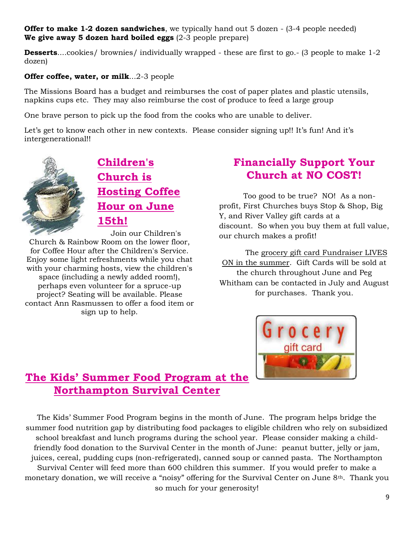#### **Offer to make 1-2 dozen sandwiches**, we typically hand out 5 dozen - (3-4 people needed) **We give away 5 dozen hard boiled eggs** (2-3 people prepare)

**Desserts....cookies/ brownies/ individually wrapped - these are first to go. - (3 people to make 1-2**) dozen)

#### **Offer coffee, water, or milk**...2-3 people

The Missions Board has a budget and reimburses the cost of paper plates and plastic utensils, napkins cups etc. They may also reimburse the cost of produce to feed a large group

One brave person to pick up the food from the cooks who are unable to deliver.

Let's get to know each other in new contexts. Please consider signing up!! It's fun! And it's intergenerational!!



**Children's Church is Hosting Coffee Hour on June 15th!**

Join our Children's Church & Rainbow Room on the lower floor, for Coffee Hour after the Children's Service. Enjoy some light refreshments while you chat with your charming hosts, view the children's space (including a newly added room!), perhaps even volunteer for a spruce-up project? Seating will be available. Please contact Ann Rasmussen to offer a food item or sign up to help.

#### **Financially Support Your Church at NO COST!**

Too good to be true? NO! As a nonprofit, First Churches buys Stop & Shop, Big Y, and River Valley gift cards at a discount. So when you buy them at full value, our church makes a profit!

The grocery gift card Fundraiser LIVES ON in the summer. Gift Cards will be sold at the church throughout June and Peg Whitham can be contacted in July and August for purchases. Thank you.



#### **The Kids' Summer Food Program at the Northampton Survival Center**

The Kids' Summer Food Program begins in the month of June. The program helps bridge the summer food nutrition gap by distributing food packages to eligible children who rely on subsidized school breakfast and lunch programs during the school year. Please consider making a childfriendly food donation to the Survival Center in the month of June: peanut butter, jelly or jam, juices, cereal, pudding cups (non-refrigerated), canned soup or canned pasta. The Northampton Survival Center will feed more than 600 children this summer. If you would prefer to make a monetary donation, we will receive a "noisy" offering for the Survival Center on June 8th. Thank you so much for your generosity!